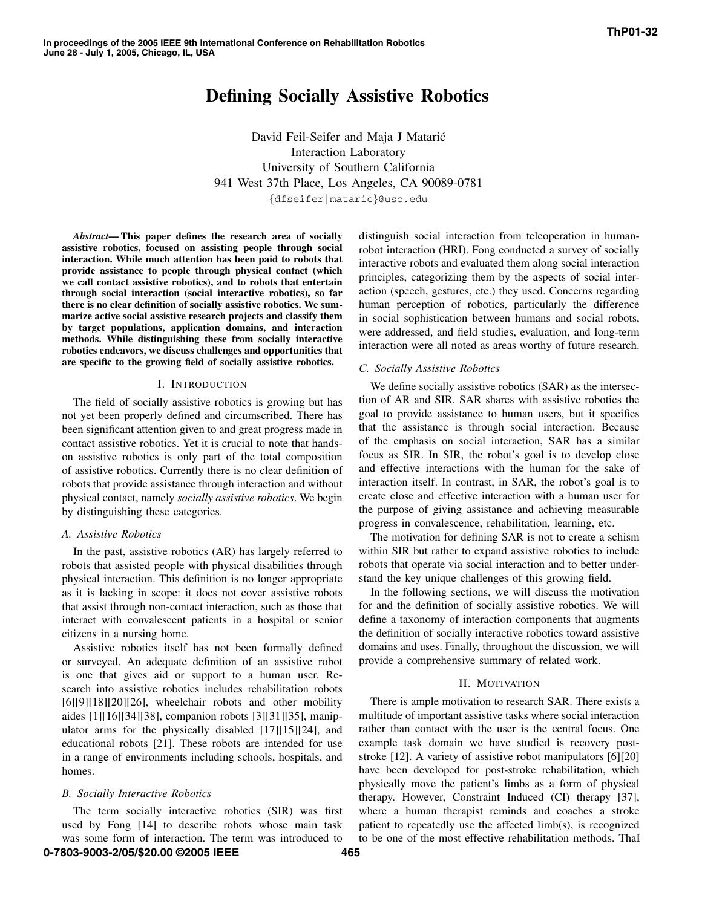# **Defining Socially Assistive Robotics**

David Feil-Seifer and Maja J Mataric´ Interaction Laboratory University of Southern California 941 West 37th Place, Los Angeles, CA 90089-0781 {dfseifer|mataric}@usc.edu

*Abstract***— This paper defines the research area of socially assistive robotics, focused on assisting people through social interaction. While much attention has been paid to robots that provide assistance to people through physical contact (which we call contact assistive robotics), and to robots that entertain through social interaction (social interactive robotics), so far there is no clear definition of socially assistive robotics. We summarize active social assistive research projects and classify them by target populations, application domains, and interaction methods. While distinguishing these from socially interactive robotics endeavors, we discuss challenges and opportunities that are specific to the growing field of socially assistive robotics.**

#### I. INTRODUCTION

The field of socially assistive robotics is growing but has not yet been properly defined and circumscribed. There has been significant attention given to and great progress made in contact assistive robotics. Yet it is crucial to note that handson assistive robotics is only part of the total composition of assistive robotics. Currently there is no clear definition of robots that provide assistance through interaction and without physical contact, namely *socially assistive robotics*. We begin by distinguishing these categories.

## *A. Assistive Robotics*

In the past, assistive robotics (AR) has largely referred to robots that assisted people with physical disabilities through physical interaction. This definition is no longer appropriate as it is lacking in scope: it does not cover assistive robots that assist through non-contact interaction, such as those that interact with convalescent patients in a hospital or senior citizens in a nursing home.

Assistive robotics itself has not been formally defined or surveyed. An adequate definition of an assistive robot is one that gives aid or support to a human user. Research into assistive robotics includes rehabilitation robots  $[6][9][18][20][26]$ , wheelchair robots and other mobility aides [1][16][34][38], companion robots [3][31][35], manipulator arms for the physically disabled [17][15][24], and educational robots [21]. These robots are intended for use in a range of environments including schools, hospitals, and homes.

## *B. Socially Interactive Robotics*

The term socially interactive robotics (SIR) was first used by Fong [14] to describe robots whose main task was some form of interaction. The term was introduced to distinguish social interaction from teleoperation in humanrobot interaction (HRI). Fong conducted a survey of socially interactive robots and evaluated them along social interaction principles, categorizing them by the aspects of social interaction (speech, gestures, etc.) they used. Concerns regarding human perception of robotics, particularly the difference in social sophistication between humans and social robots, were addressed, and field studies, evaluation, and long-term interaction were all noted as areas worthy of future research.

#### *C. Socially Assistive Robotics*

We define socially assistive robotics (SAR) as the intersection of AR and SIR. SAR shares with assistive robotics the goal to provide assistance to human users, but it specifies that the assistance is through social interaction. Because of the emphasis on social interaction, SAR has a similar focus as SIR. In SIR, the robot's goal is to develop close and effective interactions with the human for the sake of interaction itself. In contrast, in SAR, the robot's goal is to create close and effective interaction with a human user for the purpose of giving assistance and achieving measurable progress in convalescence, rehabilitation, learning, etc.

The motivation for defining SAR is not to create a schism within SIR but rather to expand assistive robotics to include robots that operate via social interaction and to better understand the key unique challenges of this growing field.

In the following sections, we will discuss the motivation for and the definition of socially assistive robotics. We will define a taxonomy of interaction components that augments the definition of socially interactive robotics toward assistive domains and uses. Finally, throughout the discussion, we will provide a comprehensive summary of related work.

#### II. MOTIVATION

There is ample motivation to research SAR. There exists a multitude of important assistive tasks where social interaction rather than contact with the user is the central focus. One example task domain we have studied is recovery poststroke [12]. A variety of assistive robot manipulators [6][20] have been developed for post-stroke rehabilitation, which physically move the patient's limbs as a form of physical therapy. However, Constraint Induced (CI) therapy [37], where a human therapist reminds and coaches a stroke patient to repeatedly use the affected limb(s), is recognized to be one of the most effective rehabilitation methods. ThaI